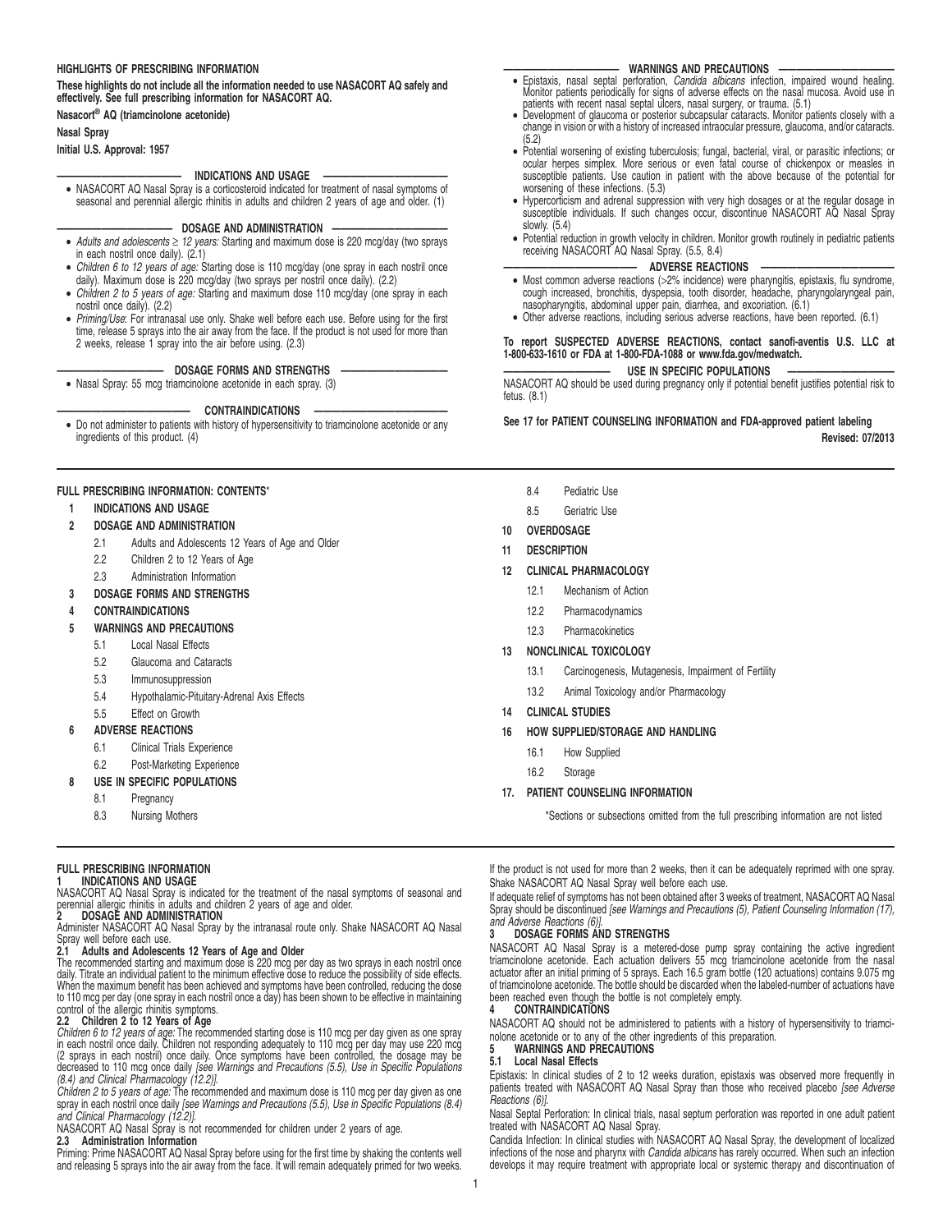# **HIGHLIGHTS OF PRESCRIBING INFORMATION**

# **These highlights do not include all the information needed to use NASACORT AQ safely and effectively. See full prescribing information for NASACORT AQ.**

**Nasacort® AQ (triamcinolone acetonide)**

# **Nasal Spray**

**Initial U.S. Approval: 1957**

#### **INDICATIONS AND USAGE**

• NASACORT AQ Nasal Spray is a corticosteroid indicated for treatment of nasal symptoms of seasonal and perennial allergic rhinitis in adults and children 2 years of age and older. (1)

# **————————————— DOSAGE AND ADMINISTRATION —————————————**

- Adults and adolescents ≥ 12 years: Starting and maximum dose is 220 mcg/day (two sprays in each nostril once daily). (2.1)
- Children 6 to 12 years of age: Starting dose is 110 mcg/day (one spray in each nostril once
- daily). Maximum dose is 220 mcg/day (two sprays per nostril once daily). (2.2) • Children 2 to 5 years of age: Starting and maximum dose 110 mcg/day (one spray in each
- nostril once daily). (2.2)
- Priming/Use: For intranasal use only. Shake well before each use. Before using for the first time, release 5 sprays into the air away from the face. If the product is not used for more than 2 weeks, release 1 spray into the air before using. (2.3)

# DOSAGE FORMS AND STRENGTHS

• Nasal Spray: 55 mcg triamcinolone acetonide in each spray. (3)

#### $CONTRAINDICATIONS$

• Do not administer to patients with history of hypersensitivity to triamcinolone acetonide or any ingredients of this product. (4)

# **FULL PRESCRIBING INFORMATION: CONTENTS**\*

## **1 INDICATIONS AND USAGE**

- **2 DOSAGE AND ADMINISTRATION**
	- 2.1 Adults and Adolescents 12 Years of Age and Older
	- 2.2 Children 2 to 12 Years of Age
	- 2.3 Administration Information

## **3 DOSAGE FORMS AND STRENGTHS**

- **4 CONTRAINDICATIONS**
- **5 WARNINGS AND PRECAUTIONS**
	- 5.1 Local Nasal Effects
		- 5.2 Glaucoma and Cataracts
		- 5.3 Immunosuppression
		- 5.4 Hypothalamic-Pituitary-Adrenal Axis Effects
		- 5.5 Effect on Growth

#### **6 ADVERSE REACTIONS**

- 6.1 Clinical Trials Experience
- 6.2 Post-Marketing Experience

# **8 USE IN SPECIFIC POPULATIONS**

- 8.1 Pregnancy
- 8.3 Nursing Mothers

# **WARNINGS AND PRECAUTIONS**

- Epistaxis, nasal septal perforation, Candida albicans infection, impaired wound healing. Monitor patients periodically for signs of adverse effects on the nasal mucosa. Avoid use in
- patients with recent nasal septal ulcers, nasal surgery, or trauma. (5.1)<br>• Development of glaucoma or posterior subcapsular cataracts. Monitor patients closely with a<br>• change in vision or with a history of increased intr
- (5.2) Potential worsening of existing tuberculosis; fungal, bacterial, viral, or parasitic infections; or ocular herpes simplex. More serious or even fatal course of chickenpox or measles in susceptible patients. Use caution in patient with the above because of the potential for worsening of these infections. (5.3)
- Hypercorticism and adrenal suppression with very high dosages or at the regular dosage in susceptible individuals. If such changes occur, discontinue NASACORT AQ Nasal Spray slowly. (5.4)
- Potential reduction in growth velocity in children. Monitor growth routinely in pediatric patients receiving NASACORT AQ Nasal Spray. (5.5, 8.4)

### **——————————————— ADVERSE REACTIONS ———————————————**

- Most common adverse reactions (>2% incidence) were pharyngitis, epistaxis, flu syndrome,<br>cough increased, bronchitis, dyspepsia, tooth disorder, headache, pharyngolaryngeal pain,<br>nasopharyngitis, abdominal upper pain, di
- Other adverse reactions, including serious adverse reactions, have been reported. (6.1)

# **To report SUSPECTED ADVERSE REACTIONS, contact sanofi-aventis U.S. LLC at 1-800-633-1610 or FDA at 1-800-FDA-1088 or www.fda.gov/medwatch.**

# **USE IN SPECIFIC POPULATIONS**

NASACORT AQ should be used during pregnancy only if potential benefit justifies potential risk to fetus. (8.1)

# **See 17 for PATIENT COUNSELING INFORMATION and FDA-approved patient labeling Revised: 07/2013**

- 8.4 Pediatric Use
- 8.5 Geriatric Use
- **10 OVERDOSAGE**

# **11 DESCRIPTION**

## **12 CLINICAL PHARMACOLOGY**

- 12.1 Mechanism of Action
- 12.2 Pharmacodynamics
- 12.3 Pharmacokinetics
- **13 NONCLINICAL TOXICOLOGY**
	- 13.1 Carcinogenesis, Mutagenesis, Impairment of Fertility
	- 13.2 Animal Toxicology and/or Pharmacology

#### **14 CLINICAL STUDIES**

### **16 HOW SUPPLIED/STORAGE AND HANDLING**

- 16.1 How Supplied
- 16.2 Storage

## **17. PATIENT COUNSELING INFORMATION**

\*Sections or subsections omitted from the full prescribing information are not listed

# **FULL PRESCRIBING INFORMATION**

1 INDICATIONS AND USAGE<br>NASACORT AQ Nasal Spray is indicated for the treatment of the nasal symptoms of seasonal and<br>perennial allergic rhinitis in adults and children 2 years of age and older.<br>2 DOSAGE AND ADMINISTRATION

Administer NASACORT AQ Nasal Spray by the intranasal route only. Shake NASACORT AQ Nasal Spray well before each use.

2.1 **Adults and Adolescents 12 Years of Age and Older**<br>The recommended starting and maximum dose is 220 mcg per day as two sprays in each nostril once<br>daily. Titrate an individual patient to the minimum effective dose to r

# control of the allergic rhinitis symptoms. **2.2 Children 2 to 12 Years of Age**

Children 6 to 12 years of age: The recommended starting dose is 110 mcg per day given as one spray<br>in each nostril once daily. Children not responding adequately to 110 mcg per day may use 220 mcg<br>(2 sprays in each nostril

Children 2 to 5 years of age: The recommended and maximum dose is 110 mcg per day given as one spray in each nostril once daily [see Warnings and Precautions (5.5), Use in Specific Populations (8.4) and Clinical Pharmacology (12.2)].

# NASACORT AQ Nasal Spray is not recommended for children under 2 years of age.

**2.3 Administration Information**

Priming: Prime NASACORT AQ Nasal Spray before using for the first time by shaking the contents well and releasing 5 sprays into the air away from the face. It will remain adequately primed for two weeks. If the product is not used for more than 2 weeks, then it can be adequately reprimed with one spray. Shake NASACORT AQ Nasal Spray well before each use.

If adequate relief of symptoms has not been obtained after 3 weeks of treatment, NASACORT AQ Nasal Spray should be discontinued [see Warnings and Precautions (5), Patient Counseling Information (17), and Adverse Reactions (6)]. **3 DOSAGE FORMS AND STRENGTHS**

NASACORT AQ Nasal Spray is a metered-dose pump spray containing the active ingredient triamcinolone acetonide. Each actuation delivers 55 mcg triamcinolone acetonide from the nasal actuator after an initial priming of 5 sprays. Each 16.5 gram bottle (120 actuations) contains 9.075 mg of triamcinolone acetonide. The bottle should be discarded when the labeled-number of actuations have been reached even though the bottle is not completely empty.

# **4 CONTRAINDICATIONS**

NASACORT AQ should not be administered to patients with a history of hypersensitivity to triamcinolone acetonide or to any of the other ingredients of this preparation.<br>**5 WARNINGS AND PRECAUTIONS**<br>**5.1 Local Nasal Effects** 

Epistaxis: In clinical studies of 2 to 12 weeks duration, epistaxis was observed more frequently in patients treated with NASACORT AQ Nasal Spray than those who received placebo [see Adverse Reactions (6)].

Nasal Septal Perforation: In clinical trials, nasal septum perforation was reported in one adult patient treated with NASACORT AQ Nasal Spray.

Candida Infection: In clinical studies with NASACORT AQ Nasal Spray, the development of localized infections of the nose and pharynx with Candida albicans has rarely occurred. When such an infection develops it may require treatment with appropriate local or systemic therapy and discontinuation of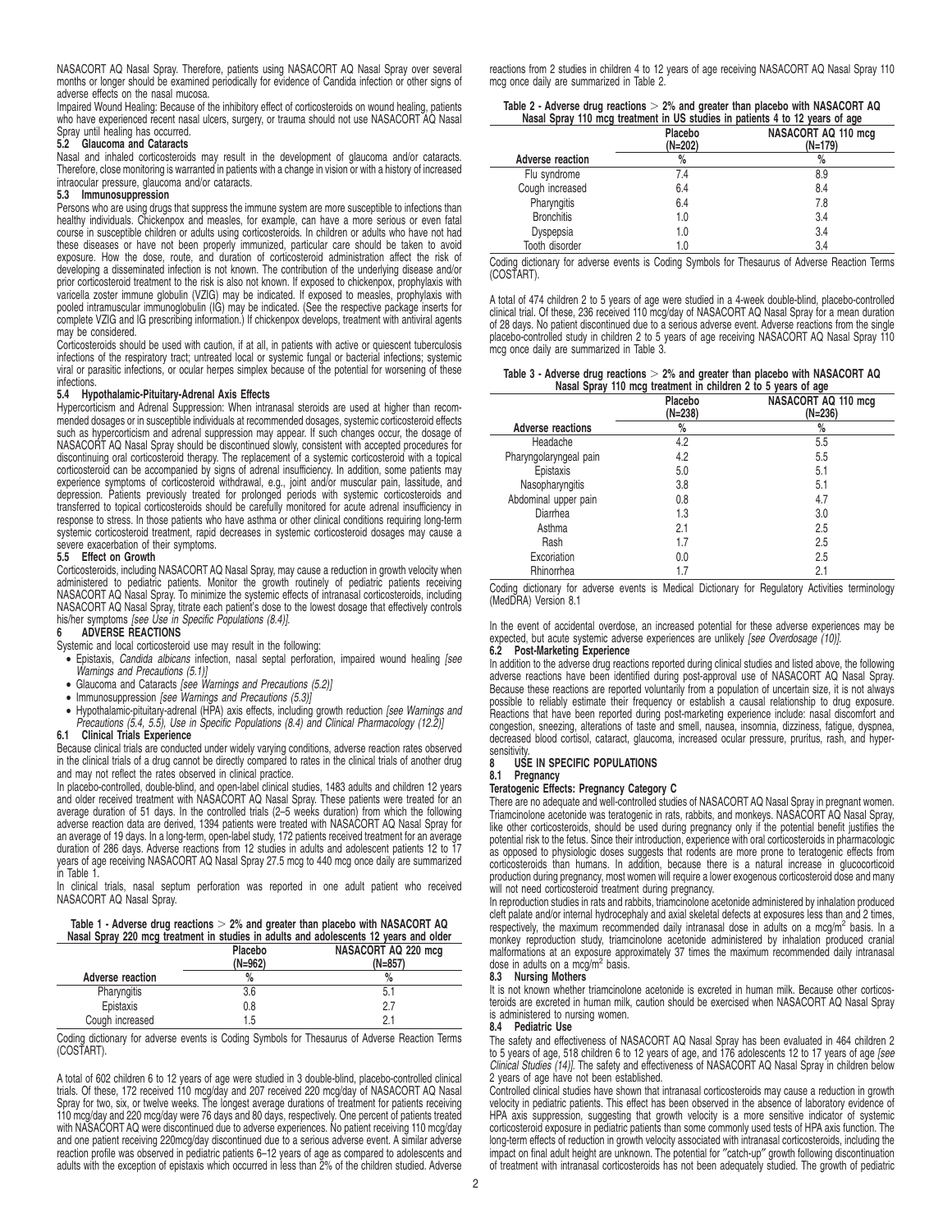NASACORT AQ Nasal Spray. Therefore, patients using NASACORT AQ Nasal Spray over several months or longer should be examined periodically for evidence of Candida infection or other signs of adverse effects on the nasal mucosa.

Impaired Wound Healing: Because of the inhibitory effect of corticosteroids on wound healing, patients who have experienced recent nasal ulcers, surgery, or trauma should not use NASACORT AQ Nasal Spray until healing has occurred.

# **5.2 Glaucoma and Cataracts**

Nasal and inhaled corticosteroids may result in the development of glaucoma and/or cataracts. Therefore, close monitoring is warranted in patients with a change in vision or with a history of increased intraocular pressure, glaucoma and/or cataracts.

# **5.3 Immunosuppression**

Persons who are using drugs that suppress the immune system are more susceptible to infections than healthy individuals. Chickenpox and measles, for example, can have a more serious or even fatal course in susceptible children or adults using corticosteroids. In children or adults who have not had these diseases or have not been properly immunized, particular care should be taken to avoid exposure. How the dose, route, and duration of corticosteroid administration affect the risk of developing a disseminated infection is not known. The contribution of the underlying disease and/or prior corticosteroid treatment to the risk is also not known. If exposed to chickenpox, prophylaxis with varicella zoster immune globulin (VZIG) may be indicated. If exposed to measles, prophylaxis with pooled intramuscular immunoglobulin (IG) may be indicated. (See the respective package inserts for complete VZIG and IG prescribing information.) If chickenpox develops, treatment with antiviral agents may be considered.

Corticosteroids should be used with caution, if at all, in patients with active or quiescent tuberculosis infections of the respiratory tract; untreated local or systemic fungal or bacterial infections; systemic viral or parasitic infections, or ocular herpes simplex because of the potential for worsening of these infections.

# **5.4 Hypothalamic-Pituitary-Adrenal Axis Effects**

Hypercorticism and Adrenal Suppression: When intranasal steroids are used at higher than recommended dosages or in susceptible individuals at recommended dosages, systemic corticosteroid effects such as hypercorticism and adrenal suppression may appear. If such changes occur, the dosage of<br>NASACORT AQ Nasal Spray should be discontinued slowly, consistent with accepted procedures for<br>discontinuing oral corticostero corticosteroid can be accompanied by signs of adrenal insufficiency. In addition, some patients may experience symptoms of corticosteroid withdrawal, e.g., joint and/or muscular pain, lassitude, and depression. Patients previously treated for prolonged periods with systemic corticosteroids and transferred to topical corticosteroids should be carefully monitored for acute adrenal insufficiency in response to stress. In those patients who have asthma or other clinical conditions requiring long-term systemic corticosteroid treatment, rapid decreases in systemic corticosteroid dosages may cause a severe exacerbation of their symptoms.

# **5.5 Effect on Growth**

Corticosteroids, including NASACORT AQ Nasal Spray, may cause a reduction in growth velocity when administered to pediatric patients. Monitor the growth routinely of pediatric patients receiving NASACORT AQ Nasal Spray. To minimize the systemic effects of intranasal corticosteroids, including NASACORT AQ Nasal Spray, titrate each patient's dose to the lowest dosage that effectively controls his/her symptoms [see Use in Specific Populations (8.4)].

# **6 ADVERSE REACTIONS**

Systemic and local corticosteroid use may result in the following:

• Epistaxis, Candida albicans infection, nasal septal perforation, impaired wound healing [see Warnings and Precautions (5.1)]

- Glaucoma and Cataracts [see Warnings and Precautions (5.2)]
- Immunosuppression [see Warnings and Precautions (5.3)]
- Hypothalamic-pituitary-adrenal (HPA) axis effects, including growth reduction [see Warnings and Precautions (5.4, 5.5), Use in Specific Populations (8.4) and Clinical Pharmacology (12.2)]
- **6.1 Clinical Trials Experience**

Because clinical trials are conducted under widely varying conditions, adverse reaction rates observed in the clinical trials of a drug cannot be directly compared to rates in the clinical trials of another drug and may not reflect the rates observed in clinical practice.

In placebo-controlled, double-blind, and open-label clinical studies, 1483 adults and children 12 years and older received treatment with NASACORT AQ Nasal Spray. These patients were treated for an average duration of 51 days. In the controlled trials (2–5 weeks duration) from which the following adverse reaction data are derived, 1394 patients were treated with NASACORT AQ Nasal Spray for an average of 19 days. In a long-term, open-label study, 172 patients received treatment for an average duration of 286 days. Adverse reactions from 12 studies in adults and adolescent patients 12 to 17 years of age receiving NASACORT AQ Nasal Spray 27.5 mcg to 440 mcg once daily are summarized in Table 1.

clinical trials, nasal septum perforation was reported in one adult patient who received NASACORT AQ Nasal Spray.

# Table 1 - Adverse drug reactions > 2% and greater than placebo with NASACORT AQ<br>Nasal Spray 220 mcg treatment in studies in adults and adolescents 12 years and older

|                  | Placebo<br>(N=962) | NASACORT AQ 220 mcg<br>(N=857) |
|------------------|--------------------|--------------------------------|
| Adverse reaction | $\%$               | $\%$                           |
| Pharyngitis      | 3.6                | 5.1                            |
| Epistaxis        | 0.8                | 2.7                            |
| Cough increased  | 1.5                | 2.1                            |

Coding dictionary for adverse events is Coding Symbols for Thesaurus of Adverse Reaction Terms (COSTART).

A total of 602 children 6 to 12 years of age were studied in 3 double-blind, placebo-controlled clinical trials. Of these, 172 received 110 mcg/day and 207 received 220 mcg/day of NASACORT AQ Nasal Spray for two, six, or twelve weeks. The longest average durations of treatment for patients receiving 110 mcg/day and 220 mcg/day were 76 days and 80 days, respectively. One percent of patients treated with NASACORT AQ were discontinued due to adverse experiences. No patient receiving 110 mcg/day and one patient receiving 220mcg/day discontinued due to a serious adverse event. A similar adverse reaction profile was observed in pediatric patients 6–12 years of age as compared to adolescents and adults with the exception of epistaxis which occurred in less than 2% of the children studied. Adverse reactions from 2 studies in children 4 to 12 years of age receiving NASACORT AQ Nasal Spray 110 mcg once daily are summarized in Table 2.

| Table 2 - Adverse drug reactions $>$ 2% and greater than placebo with NASACORT AQ |  |  |
|-----------------------------------------------------------------------------------|--|--|
| Nasal Spray 110 mcg treatment in US studies in patients 4 to 12 years of age      |  |  |

|                   | Placebo<br>(N=202) | NASACORT AQ 110 mcg<br>(N=179) |
|-------------------|--------------------|--------------------------------|
| Adverse reaction  | %                  | %                              |
| Flu syndrome      | 7.4                | 8.9                            |
| Cough increased   | 6.4                | 8.4                            |
| Pharyngitis       | 6.4                | 7.8                            |
| <b>Bronchitis</b> | 1.0                | 3.4                            |
| Dyspepsia         | 1.0                | 3.4                            |
| Tooth disorder    | 1.0                | 3.4                            |

Coding dictionary for adverse events is Coding Symbols for Thesaurus of Adverse Reaction Terms (COSTART).

A total of 474 children 2 to 5 years of age were studied in a 4-week double-blind, placebo-controlled clinical trial. Of these, 236 received 110 mcg/day of NASACORT AQ Nasal Spray for a mean duration of 28 days. No patient discontinued due to a serious adverse event. Adverse reactions from the single placebo-controlled study in children 2 to 5 years of age receiving NASACORT AQ Nasal Spray 110 mcg once daily are summarized in Table 3.

**Table 3 - Adverse drug reactions** . **2% and greater than placebo with NASACORT AQ Nasal Spray 110 mcg treatment in children 2 to 5 years of age**

|                          | Placebo<br>(N=238) | NASACORT AQ 110 mcq<br>$(N=236)$ |
|--------------------------|--------------------|----------------------------------|
| <b>Adverse reactions</b> | $\%$               | %                                |
| Headache                 | 4.2                | 5.5                              |
| Pharyngolaryngeal pain   | 4.2                | 5.5                              |
| Epistaxis                | 5.0                | 5.1                              |
| Nasopharyngitis          | 3.8                | 5.1                              |
| Abdominal upper pain     | 0.8                | 4.7                              |
| Diarrhea                 | 1.3                | 3.0                              |
| Asthma                   | 2.1                | 2.5                              |
| Rash                     | 1.7                | 2.5                              |
| Excoriation              | 0.0                | 2.5                              |
| Rhinorrhea               | 1.7                | 2.1                              |

Coding dictionary for adverse events is Medical Dictionary for Regulatory Activities terminology (MedDRA) Version 8.1

In the event of accidental overdose, an increased potential for these adverse experiences may be expected, but acute systemic adverse experiences are unlikely [see Overdosage (10)].

# **6.2 Post-Marketing Experience**

In addition to the adverse drug reactions reported during clinical studies and listed above, the following adverse reactions have been identified during post-approval use of NASACORT AQ Nasal Spray. Because these reactions are reported voluntarily from a population of uncertain size, it is not always possible to reliably estimate their frequency or establish a causal relationship to drug exposure. Reactions that have been reported during post-marketing experience include: nasal discomfort and congestion, sneezing, alterations of taste and smell, nausea, insomnia, dizziness, fatigue, dyspnea, decreased blood cortisol, cataract, glaucoma, increased ocular pressure, pruritus, rash, and hyper-

#### sensitivity<br>8 US **USE IN SPECIFIC POPULATIONS**

# **8.1 Pregnancy**

### **Teratogenic Effects: Pregnancy Category C**

There are no adequate and well-controlled studies of NASACORT AQ Nasal Spray in pregnant women. Triamcinolone acetonide was teratogenic in rats, rabbits, and monkeys. NASACORT AQ Nasal Spray, like other corticosteroids, should be used during pregnancy only if the potential benefit justifies the potential risk to the fetus. Since their introduction, experience with oral corticosteroids in pharmacologic as opposed to physiologic doses suggests that rodents are more prone to teratogenic effects from corticosteroids than humans. In addition, because there is a natural increase in glucocorticoid production during pregnancy, most women will require a lower exogenous corticosteroid dose and many will not need corticosteroid treatment during pregnancy.

In reproduction studies in rats and rabbits, triamcinolone acetonide administered by inhalation produced cleft palate and/or internal hydrocephaly and axial skeletal defects at exposures less than and 2 times, respectively, the maximum recommended daily intranasal dose in adults on a mcg/m<sup>2</sup> basis. In a monkey reproduction study, triamcinolone acetonide administered by inhalation produced cranial malformations at an exposure approximately 37 times the maximum recommended daily intranasal dose in adults on a mcg/m<sup>2</sup> basis.

# **8.3 Nursing Mothers**

It is not known whether triamcinolone acetonide is excreted in human milk. Because other corticosteroids are excreted in human milk, caution should be exercised when NASACORT AQ Nasal Spray is administered to nursing women.

#### **8.4 Pediatric Use**

The safety and effectiveness of NASACORT AQ Nasal Spray has been evaluated in 464 children 2<br>to 5 years of age, 518 children 6 to 12 years of age, and 176 adolescents 12 to 17 years of age *[see*<br>*Clinical Studies (14)].* 2 years of age have not been established.

Controlled clinical studies have shown that intranasal corticosteroids may cause a reduction in growth velocity in pediatric patients. This effect has been observed in the absence of laboratory evidence of HPA axis suppression, suggesting that growth velocity is a more sensitive indicator of systemic corticosteroid exposure in pediatric patients than some commonly used tests of HPA axis function. The long-term effects of reduction in growth velocity associated with intranasal corticosteroids, including the impact on final adult height are unknown. The potential for ″catch-up″ growth following discontinuation of treatment with intranasal corticosteroids has not been adequately studied. The growth of pediatric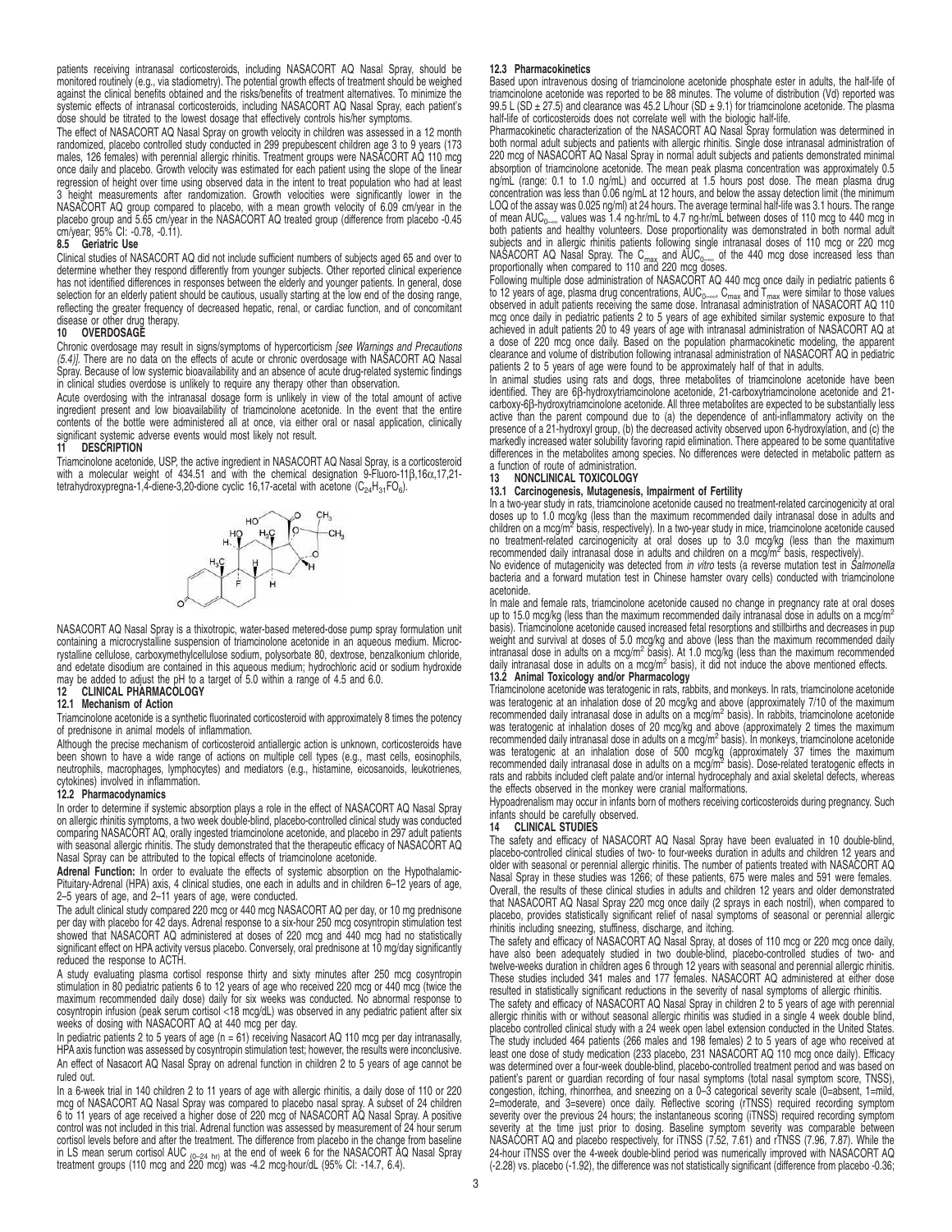patients receiving intranasal corticosteroids, including NASACORT AQ Nasal Spray, should be monitored routinely (e.g., via stadiometry). The potential growth effects of treatment should be weighed against the clinical benefits obtained and the risks/benefits of treatment alternatives. To minimize the systemic effects of intranasal corticosteroids, including NASACORT AQ Nasal Spray, each patient's dose should be titrated to the lowest dosage that effectively controls his/her symptoms.

The effect of NASACORT AQ Nasal Spray on growth velocity in children was assessed in a 12 month randomized, placebo controlled study conducted in 299 prepubescent children age 3 to 9 years (173 males, 126 females) with perennial allergic rhinitis. Treatment groups were NASACORT AQ 110 mcg once daily and placebo. Growth velocity was estimated for each patient using the slope of the linear regression of height over time using observed data in the intent to treat population who had at least<br>3 height measurements after randomization. Growth velocities were significantly lower in the<br>NASACORT AQ group compared placebo group and 5.65 cm/year in the NASACORT AQ treated group (difference from placebo -0.45 cm/year; 95% CI: -0.78, -0.11).

# **8.5 Geriatric Use**

Clinical studies of NASACORT AQ did not include sufficient numbers of subjects aged 65 and over to determine whether they respond differently from younger subjects. Other reported clinical experience has not identified differences in responses between the elderly and younger patients. In general, dose selection for an elderly patient should be cautious, usually starting at the low end of the dosing range, reflecting the greater frequency of decreased hepatic, renal, or cardiac function, and of concomitant disease or other drug therapy.

# **10 OVERDOSAGE**

Chronic overdosage may result in signs/symptoms of hypercorticism [see Warnings and Precautions<br>(5.4)]. There are no data on the effects of acute or chronic overdosage with NASACORT AQ Nasal Spray. Because of low systemic bioavailability and an absence of acute drug-related systemic findings in clinical studies overdose is unlikely to require any therapy other than observation.

Acute overdosing with the intranasal dosage form is unlikely in view of the total amount of active ingredient present and low bioavailability of triamcinolone acetonide. In the event that the entire contents of the bottle were administered all at once, via either oral or nasal application, clinically significant systemic adverse events would most likely not result.

#### **11 DESCRIPTION**

Triamcinolone acetonide, USP, the active ingredient in NASACORT AQ Nasal Spray, is a corticosteroid with a molecular weight of 434.51 and with the chemical designation 9-Fluoro-11β,16α,17,21-<br>tetrahydroxypregna-1,4-diene-3,20-dione cyclic 16,17-acetal with acetone (C<sub>24</sub>H<sub>31</sub>FO<sub>6</sub>).



NASACORT AQ Nasal Spray is a thixotropic, water-based metered-dose pump spray formulation unit containing a microcrystalline suspension of triamcinolone acetonide in an aqueous medium. Microcrystalline cellulose, carboxymethylcellulose sodium, polysorbate 80, dextrose, benzalkonium chloride, and edetate disodium are contained in this aqueous medium; hydrochloric acid or sodium hydroxide may be added to adjust the pH to a target of 5.0 within a range of 4.5 and 6.0.<br>12 CLINICAL PHARMACOLOGY

# **12 CLINICAL PHARMACOLOGY**

#### **12.1 Mechanism of Action**

Triamcinolone acetonide is a synthetic fluorinated corticosteroid with approximately 8 times the potency of prednisone in animal models of inflammation.

Although the precise mechanism of corticosteroid antiallergic action is unknown, corticosteroids have<br>been shown to have a wide range of actions on multiple cell types (e.g., mast cells, eosinophils,<br>neutrophils, macrophag cytokines) involved in inflammation. **12.2 Pharmacodynamics**

In order to determine if systemic absorption plays a role in the effect of NASACORT AQ Nasal Spray on allergic rhinitis symptoms, a two week double-blind, placebo-controlled clinical study was conducted comparing NASACORT AQ, orally ingested triamcinolone acetonide, and placebo in 297 adult patients with seasonal allergic rhinitis. The study demonstrated that the therapeutic efficacy of NASACORT AQ Nasal Spray can be attributed to the topical effects of triamcinolone acetonide.

**Adrenal Function:** In order to evaluate the effects of systemic absorption on the Hypothalamic-Pituitary-Adrenal (HPA) axis, 4 clinical studies, one each in adults and in children 6–12 years of age, 2–5 years of age, and 2–11 years of age, were conducted.

The adult clinical study compared 220 mcg or 440 mcg NASACORT AQ per day, or 10 mg prednisone per day with placebo for 42 days. Adrenal response to a six-hour 250 mcg cosyntropin stimulation test showed that NASACORT AQ administered at doses of 220 mcg and 440 mcg had no statistically significant effect on HPA activity versus placebo. Conversely, oral prednisone at 10 mg/day significantly reduced the response to ACTH.

A study evaluating plasma cortisol response thirty and sixty minutes after 250 mcg cosyntropin stimulation in 80 pediatric patients 6 to 12 years of age who received 220 mcg or 440 mcg (twice the maximum recommended daily dose) daily for six weeks was conducted. No abnormal response to<br>cosyntropin infusion (peak serum cortisol <18 mcg/dL) was observed in any pediatric patient after six<br>weeks of dosing with NASACORT

In pediatric patients 2 to 5 years of age (n = 61) receiving Nasacort AQ 110 mcg per day intranasally, HPA axis function was assessed by cosyntropin stimulation test; however, the results were inconclusive. An effect of Nasacort AQ Nasal Spray on adrenal function in children 2 to 5 years of age cannot be ruled out.

In a 6-week trial in 140 children 2 to 11 years of age with allergic rhinitis, a daily dose of 110 or 220 mcg of NASACORT AQ Nasal Spray was compared to placebo nasal spray. A subset of 24 children 6 to 11 years of age received a higher dose of 220 mcg of NASACORT AQ Nasal Spray. A positive control was not included in this trial. Adrenal function was assessed by measurement of 24 hour serum cortisol levels before and after the treatment. The difference from placebo in the change from baseline in LS mean serum cortisol AUC <sub>(0–24 hr)</sub> at the end of week 6 for the NASACORT AQ Nasal Spray<br>treatment groups (110 mcg and 220 mcg) was -4.2 mcg·hour/dL (95% Cl: -14.7, 6.4).

#### **12.3 Pharmacokinetics**

Based upon intravenous dosing of triamcinolone acetonide phosphate ester in adults, the half-life of triamcinolone acetonide was reported to be 88 minutes. The volume of distribution (Vd) reported was 99.5 L (SD  $\pm$  27.5) and clearance was 45.2 L/hour (SD  $\pm$  9.1) for triamcinolone acetonide. The plasma half-life of corticosteroids does not correlate well with the biologic half-life.

Pharmacokinetic characterization of the NASACORT AQ Nasal Spray formulation was determined in both normal adult subjects and patients with allergic rhinitis. Single dose intranasal administration of 220 mcg of NASACORT AQ Nasal Spray in normal adult subjects and patients demonstrated minimal absorption of triamcinolone acetonide. The mean peak plasma concentration was approximately 0.5 ng/mL (range: 0.1 to 1.0 ng/mL) and occurred at 1.5 hours post dose. The mean plasma drug concentration was less than 0.06 ng/mL at 12 hours, and below the assay detection limit (the minimum LOQ of the assay was 0.025 ng/ml) at 24 hours. The average terminal half-life was 3.1 hours. The range<br>of mean AUC<sub>0−∞</sub> values was 1.4 ng·hr/mL to 4.7 ng·hr/mL between doses of 110 mcg to 440 mcg in both patients and healthy volunteers. Dose proportionality was demonstrated in both normal adult subjects and in allergic rhinitis patients following single intranasal doses of 110 mcg or 220 mcg<br>NASACORT AQ Nasal Spray. The C<sub>max</sub> and AUC<sub>O---</sub> of the 440 mcg dose increased less than<br>proportionally when compared to 1

Following multiple dose administration of NASACORT AQ 440 mcg once daily in pediatric patients 6<br>to 12 years of age, plasma drug concentrations, AUC<sub>0--∞</sub>, C<sub>max</sub> and T<sub>max</sub> were similar to those values<br>observed in adult p mcg once daily in pediatric patients 2 to 5 years of age exhibited similar systemic exposure to that achieved in adult patients 20 to 49 years of age with intranasal administration of NASACORT AQ at a dose of 220 mcg once daily. Based on the population pharmacokinetic modeling, the apparent clearance and volume of distribution following intranasal administration of NASACORT AQ in pediatric patients 2 to 5 years of age were found to be approximately half of that in adults.

In animal studies using rats and dogs, three metabolites of triamcinolone acetonide have been identified. They are 6β-hydroxytriamcinolone acetonide, 21-carboxytriamcinolone acetonide and 21 carboxy-6β-hydroxytriamcinolone acetonide. All three metabolites are expected to be substantially less active than the parent compound due to (a) the dependence of anti-inflammatory activity on the presence of a 21-hydroxyl group, (b) the decreased activity observed upon 6-hydroxylation, and (c) the markedly increased water solubility favoring rapid elimination. There appeared to be some quantitative differences in the metabolites among species. No differences were detected in metabolic pattern as a function of route of administration.<br>13 **NONCLINICAL TOXICOLOGY** 

# **13 NONCLINICAL TOXICOLOGY**

#### **13.1 Carcinogenesis, Mutagenesis, Impairment of Fertility**

In a two-year study in rats, triamcinolone acetonide caused no treatment-related carcinogenicity at oral doses up to 1.0 mcg/kg (less than the maximum recommended daily intranasal dose in adults and children on a mcg/m<sup>2</sup> basis, respectively). In a two-year study in mice, triamcinolone acetonide caused no treatment-related carcinogenicity at oral doses up to 3.0 mcg/kg (less than the maximum recommended daily intranasal dose in adults and children on a mcg/m<sup>2</sup> basis, respectively).

No evidence of mutagenicity was detected from in vitro tests (a reverse mutation test in Salmonella bacteria and a forward mutation test in Chinese hamster ovary cells) conducted with triamcinolone acetonide.

In male and female rats, triamcinolone acetonide caused no change in pregnancy rate at oral doses up to 15.0 mcg/kg (less than the maximum recommended daily intranasal dose in adults on a mcg/m<sup>2</sup> basis). Triamcinolone acetonide caused increased fetal resorptions and stillbirths and decreases in pup weight and survival at doses of 5.0 mcg/kg and above (less than the maximum recommended daily intranasal dose in adults on a mcg/m<sup>2</sup> basis). At 1.0 mcg/kg (less than the maximum recommended daily intranasal dose in adults on a mcg/m<sup>2</sup> basis), it did not induce the above mentioned effects. **13.2 Animal Toxicology and/or Pharmacology**

Triamcinolone acetonide was teratogenic in rats, rabbits, and monkeys. In rats, triamcinolone acetonide was teratogenic at an inhalation dose of 20 mcg/kg and above (approximately 7/10 of the maximum recommended daily intranasal dose in adults on a mcg/m<sup>2</sup> basis). In rabbits, triamcinolone acetonide was teratogenic at inhalation doses of 20 mcg/kg and above (approximately 2 times the maximum<br>recommended daily intranasal dose in adults on a mcg/m<sup>2</sup> basis). In monkeys, triamcinolone acetonide was teratogenic at an inhalation dose of 500 mcg/kg (approximately 37 times the maximum recommended daily intranasal dose in adults on a mcg/m<sup>2</sup> basis). Dose-related teratogenic effects in rats and rabbits included cleft palate and/or internal hydrocephaly and axial skeletal defects, whereas the effects observed in the monkey were cranial malformations.

Hypoadrenalism may occur in infants born of mothers receiving corticosteroids during pregnancy. Such infants should be carefully observed.<br>14 CLINICAL STUDIES

#### **14 CLINICAL STUDIES**

The safety and efficacy of NASACORT AQ Nasal Spray have been evaluated in 10 double-blind, placebo-controlled clinical studies of two- to four-weeks duration in adults and children 12 years and older with seasonal or perennial allergic rhinitis. The number of patients treated with NASACORT AQ Nasal Spray in these studies was 1266; of these patients, 675 were males and 591 were females. Overall, the results of these clinical studies in adults and children 12 years and older demonstrated that NASACORT AQ Nasal Spray 220 mcg once daily (2 sprays in each nostril), when compared to placebo, provides statistically significant relief of nasal symptoms of seasonal or perennial allergic rhinitis including sneezing, stuffiness, discharge, and itching.

The safety and efficacy of NASACORT AQ Nasal Spray, at doses of 110 mcg or 220 mcg once daily, have also been adequately studied in two double-blind, placebo-controlled studies of two- and<br>twelve-weeks duration in children ages 6 through 12 years with seasonal and perennial allergic rhinitis.<br>These studies included resulted in statistically significant reductions in the severity of nasal symptoms of allergic rhinitis.

The safety and efficacy of NASACORT AQ Nasal Spray in children 2 to 5 years of age with perennial allergic rhinitis with or without seasonal allergic rhinitis was studied in a single 4 week double blind, placebo controlled clinical study with a 24 week open label extension conducted in the United States.<br>The study included 464 patients (266 males and 198 females) 2 to 5 years of age who received at<br>least one dose of study was determined over a four-week double-blind, placebo-controlled treatment period and was based on patient's parent or guardian recording of four nasal symptoms (total nasal symptom score, TNSS),<br>congestion, itching, rhinorrhea, and sneezing on a 0–3 categorical severity scale (0=absent, 1=mild,<br>2=moderate, and 3=severe severity over the previous 24 hours; the instantaneous scoring (iTNSS) required recording symptom severity at the time just prior to dosing. Baseline symptom severity was comparable between NASACORT AQ and placebo respectively, for iTNSS (7.52, 7.61) and rTNSS (7.96, 7.87). While the 24-hour iTNSS over the 4-week double-blind period was numerically improved with NASACORT AQ (-2.28) vs. placebo (-1.92), the difference was not statistically significant (difference from placebo -0.36;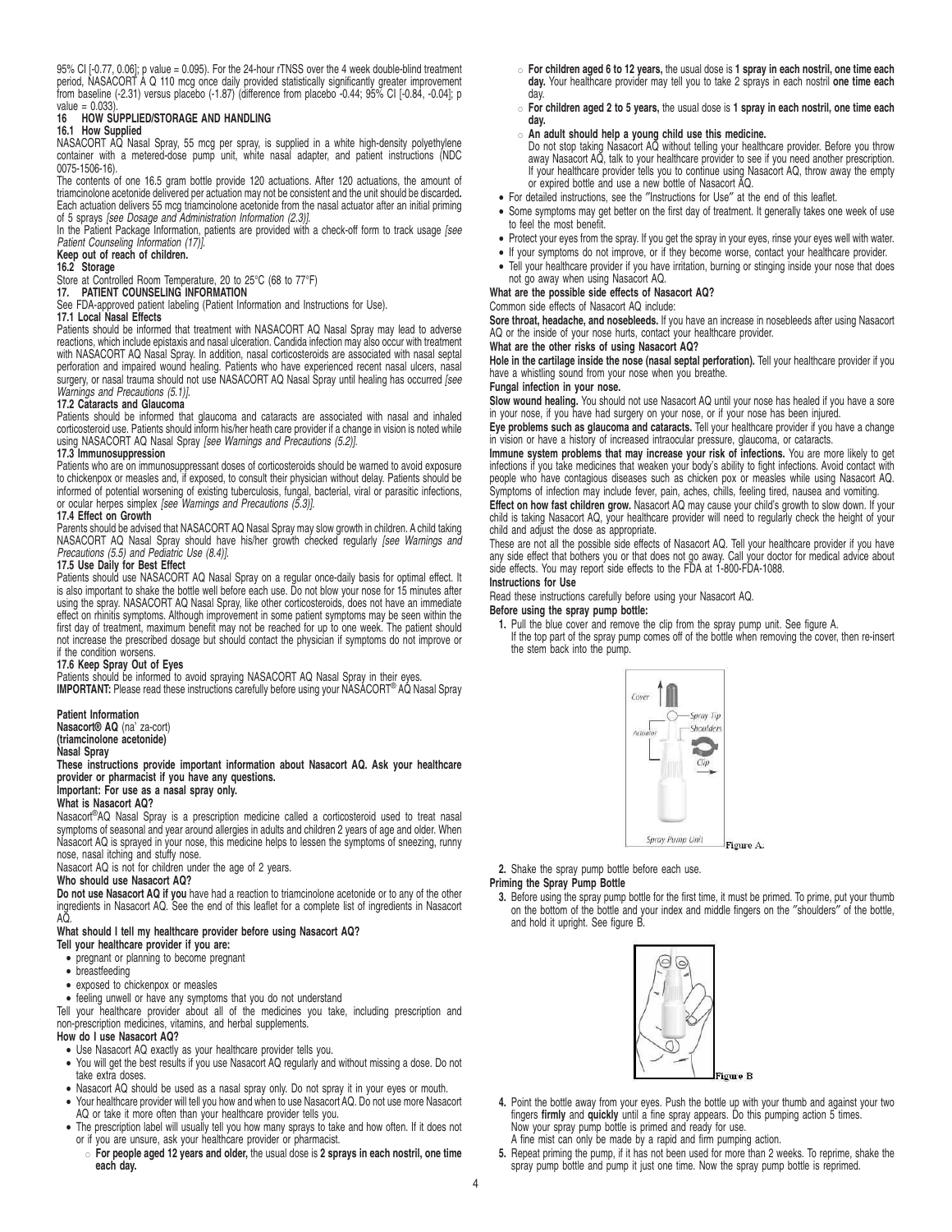95% CI [-0.77, 0.06]; p value = 0.095). For the 24-hour rTNSS over the 4 week double-blind treatment period, NASACORT A Q 110 mcg once daily provided statistically significantly greater improvement from baseline (-2.31) versus placebo (-1.87) (difference from placebo -0.44; 95% CI [-0.84, -0.04]; p value =  $0.033$ 

# **16 HOW SUPPLIED/STORAGE AND HANDLING**

# **16.1 How Supplied**

NASACORT AQ Nasal Spray, 55 mcg per spray, is supplied in a white high-density polyethylene container with a metered-dose pump unit, white nasal adapter, and patient instructions (NDC 0075-1506-16).

The contents of one 16.5 gram bottle provide 120 actuations. After 120 actuations, the amount of triamcinolone acetonide delivered per actuation may not be consistent and the unit should be discarded**.** Each actuation delivers 55 mcg triamcinolone acetonide from the nasal actuator after an initial priming of 5 sprays [see Dosage and Administration Information (2.3)].

In the Patient Package Information, patients are provided with a check-off form to track usage [see Patient Counseling Information (17)].

# **Keep out of reach of children.**

# **16.2 Storage**

Store at Controlled Room Temperature, 20 to 25°C (68 to 77°F)

**17. PATIENT COUNSELING INFORMATION**

See FDA-approved patient labeling (Patient Information and Instructions for Use).

# **17.1 Local Nasal Effects**

Patients should be informed that treatment with NASACORT AQ Nasal Spray may lead to adverse reactions, which include epistaxis and nasal ulceration. Candida infection may also occur with treatment<br>with NASACORT AQ Nasal Spray. In addition, nasal corticosteroids are associated with nasal septal<br>perforation and imp surgery, or nasal trauma should not use NASACORT AQ Nasal Spray until healing has occurred *[see*<br>*Warnings and Precautions (5.1)].* 

# **17.2 Cataracts and Glaucoma**

Patients should be informed that glaucoma and cataracts are associated with nasal and inhaled corticosteroid use. Patients should inform his/her heath care provider if a change in vision is noted while using NASACORT AQ Nasal Spray [see Warnings and Precautions (5.2)].

### **17.3 Immunosuppression**

Patients who are on immunosuppressant doses of corticosteroids should be warned to avoid exposure to chickenpox or measles and, if exposed, to consult their physician without delay. Patients should be informed of potential worsening of existing tuberculosis, fungal, bacterial, viral or parasitic infections,<br>or ocular herpes simplex *[see Warnings and Precautions (5.3)].* 

#### **17.4 Effect on Growth**

Parents should be advised that NASACORT AQ Nasal Spray may slow growth in children. A child taking NASACORT AQ Nasal Spray should have his/her growth checked regularly [see Warnings and Precautions (5.5) and Pediatric Use (8.4)].

# **17.5 Use Daily for Best Effect**

Patients should use NASACORT AQ Nasal Spray on a regular once-daily basis for optimal effect. It is also important to shake the bottle well before each use. Do not blow your nose for 15 minutes after using the spray. NASACORT AQ Nasal Spray, like other corticosteroids, does not have an immediate effect on rhinitis symptoms. Although improvement in some patient symptoms may be seen within the first day of treatment, maximum benefit may not be reached for up to one week. The patient should not increase the prescribed dosage but should contact the physician if symptoms do not improve or if the condition worsens.

# **17.6 Keep Spray Out of Eyes**

Patients should be informed to avoid spraying NASACORT AQ Nasal Spray in their eyes. **IMPORTANT:** Please read these instructions carefully before using your NASACORT® AQ Nasal Spray

#### **Patient Information**

**Nasacort® AQ** (na' za-cort)

**(triamcinolone acetonide)**

# **Nasal Spray**

**These instructions provide important information about Nasacort AQ. Ask your healthcare provider or pharmacist if you have any questions.**

# **Important: For use as a nasal spray only.**

**What is Nasacort AQ?**

Nasacort<sup>®</sup>AQ Nasal Spray is a prescription medicine called a corticosteroid used to treat nasal symptoms of seasonal and year around allergies in adults and children 2 years of age and older. When Nasacort AQ is sprayed in your nose, this medicine helps to lessen the symptoms of sneezing, runny nose, nasal itching and stuffy nose.

Nasacort AQ is not for children under the age of 2 years.

# **Who should use Nasacort AQ?**

**Do not use Nasacort AQ if you** have had a reaction to triamcinolone acetonide or to any of the other ingredients in Nasacort AQ. See the end of this leaflet for a complete list of ingredients in Nasacort AQ.

# **What should I tell my healthcare provider before using Nasacort AQ?**

**Tell your healthcare provider if you are:**

- pregnant or planning to become pregnant
- breastfeeding
- exposed to chickenpox or measles
- feeling unwell or have any symptoms that you do not understand

Tell your healthcare provider about all of the medicines you take, including prescription and non-prescription medicines, vitamins, and herbal supplements.

#### **How do I use Nasacort AQ?**

- Use Nasacort AQ exactly as your healthcare provider tells you.
- You will get the best results if you use Nasacort AQ regularly and without missing a dose. Do not
- take extra doses. • Nasacort AQ should be used as a nasal spray only. Do not spray it in your eyes or mouth.
- Your healthcare provider will tell you how and when to use Nasacort AQ. Do not use more Nasacort
- AQ or take it more often than your healthcare provider tells you. • The prescription label will usually tell you how many sprays to take and how often. If it does not
- or if you are unsure, ask your healthcare provider or pharmacist.
	- For people aged 12 years and older, the usual dose is 2 sprays in each nostril, one time **each day.**
- " **For children aged 6 to 12 years,** the usual dose is **1 spray in each nostril, one time each day.** Your healthcare provider may tell you to take 2 sprays in each nostril **one time each** day.
- " **For children aged 2 to 5 years,** the usual dose is **1 spray in each nostril, one time each day.**
- " **An adult should help a young child use this medicine.**

Do not stop taking Nasacort AQ without telling your healthcare provider. Before you throw away Nasacort AQ, talk to your healthcare provider to see if you need another prescription. If your healthcare provider tells you to continue using Nasacort AQ, throw away the empty or expired bottle and use a new bottle of Nasacort AQ.

- For detailed instructions, see the ″Instructions for Use″ at the end of this leaflet.
- Some symptoms may get better on the first day of treatment. It generally takes one week of use to feel the most benefit.
- Protect your eyes from the spray. If you get the spray in your eyes, rinse your eyes well with water.
- If your symptoms do not improve, or if they become worse, contact your healthcare provider.
- Tell your healthcare provider if you have irritation, burning or stinging inside your nose that does not go away when using Nasacort AQ.

# **What are the possible side effects of Nasacort AQ?**

# Common side effects of Nasacort AQ include:

**Sore throat, headache, and nosebleeds.** If you have an increase in nosebleeds after using Nasacort AQ or the inside of your nose hurts, contact your healthcare provider.

**What are the other risks of using Nasacort AQ?**

**Hole in the cartilage inside the nose (nasal septal perforation).** Tell your healthcare provider if you have a whistling sound from your nose when you breathe.

# **Fungal infection in your nose.**

**Slow wound healing.** You should not use Nasacort AQ until your nose has healed if you have a sore in your nose, if you have had surgery on your nose, or if your nose has been injured.

**Eye problems such as glaucoma and cataracts.** Tell your healthcare provider if you have a change in vision or have a history of increased intraocular pressure, glaucoma, or cataracts.

**Immune system problems that may increase your risk of infections.** You are more likely to get infections if you take medicines that weaken your body's ability to fight infections. Avoid contact with people who have contagious diseases such as chicken pox or measles while using Nasacort AQ. Symptoms of infection may include fever, pain, aches, chills, feeling tired, nausea and vomiting.

**Effect on how fast children grow.** Nasacort AQ may cause your child's growth to slow down. If your child is taking Nasacort AQ, your healthcare provider will need to regularly check the height of your child and adjust the dose as appropriate.

These are not all the possible side effects of Nasacort AQ. Tell your healthcare provider if you have<br>any side effect that bothers you or that does not go away. Call your doctor for medical advice about<br>side effects. You m

# **Instructions for Use**

Read these instructions carefully before using your Nasacort AQ.

**Before using the spray pump bottle:**

**1.** Pull the blue cover and remove the clip from the spray pump unit. See figure A. If the top part of the spray pump comes off of the bottle when removing the cover, then re-insert the stem back into the pump.



**2.** Shake the spray pump bottle before each use.

**Priming the Spray Pump Bottle**

**3.** Before using the spray pump bottle for the first time, it must be primed. To prime, put your thumb on the bottom of the bottle and your index and middle fingers on the ″shoulders″ of the bottle, and hold it upright. See figure B.



- **4.** Point the bottle away from your eyes. Push the bottle up with your thumb and against your two fingers firmly and quickly until a fine spray appears. Do this pumping action 5 times. Now your spray pump bottle is primed and ready for use.
- A fine mist can only be made by a rapid and firm pumping action.
- **5.** Repeat priming the pump, if it has not been used for more than 2 weeks. To reprime, shake the spray pump bottle and pump it just one time. Now the spray pump bottle is reprimed.